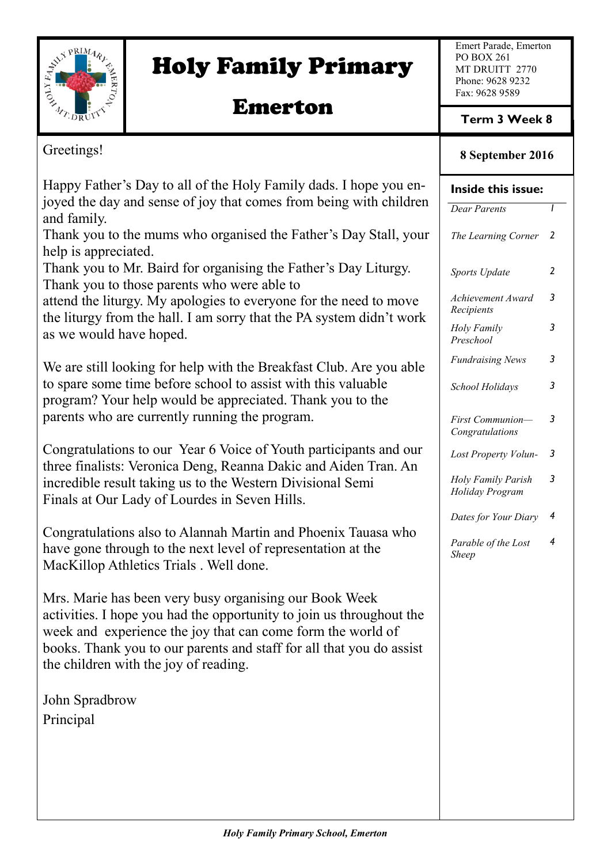

# Holy Family Primary

# Emerton

Emert Parade, Emerton PO BOX 261 MT DRUITT 2770 Phone: 9628 9232 Fax: 9628 9589

**Term 3 Week 8**

## **8 September 2016**

| Greetings!                                                                                                                                                                                                                                                                                                     | 8 September 2016                      |                |
|----------------------------------------------------------------------------------------------------------------------------------------------------------------------------------------------------------------------------------------------------------------------------------------------------------------|---------------------------------------|----------------|
| Happy Father's Day to all of the Holy Family dads. I hope you en-                                                                                                                                                                                                                                              | Inside this issue:                    |                |
| joyed the day and sense of joy that comes from being with children<br>and family.                                                                                                                                                                                                                              | <b>Dear Parents</b>                   |                |
| Thank you to the mums who organised the Father's Day Stall, your<br>help is appreciated.                                                                                                                                                                                                                       | The Learning Corner                   | $\overline{2}$ |
| Thank you to Mr. Baird for organising the Father's Day Liturgy.<br>Thank you to those parents who were able to                                                                                                                                                                                                 | Sports Update                         | $\overline{2}$ |
| attend the liturgy. My apologies to everyone for the need to move<br>the liturgy from the hall. I am sorry that the PA system didn't work                                                                                                                                                                      | Achievement Award<br>Recipients       | 3              |
| as we would have hoped.                                                                                                                                                                                                                                                                                        | Holy Family<br>Preschool              | 3              |
| We are still looking for help with the Breakfast Club. Are you able                                                                                                                                                                                                                                            | <b>Fundraising News</b>               | 3              |
| to spare some time before school to assist with this valuable<br>program? Your help would be appreciated. Thank you to the<br>parents who are currently running the program.                                                                                                                                   | School Holidays                       | 3              |
|                                                                                                                                                                                                                                                                                                                | First Communion-<br>Congratulations   | 3              |
| Congratulations to our Year 6 Voice of Youth participants and our<br>three finalists: Veronica Deng, Reanna Dakic and Aiden Tran. An                                                                                                                                                                           | Lost Property Volun-                  | 3              |
| incredible result taking us to the Western Divisional Semi<br>Finals at Our Lady of Lourdes in Seven Hills.                                                                                                                                                                                                    | Holy Family Parish<br>Holiday Program | 3              |
| Congratulations also to Alannah Martin and Phoenix Tauasa who                                                                                                                                                                                                                                                  | Dates for Your Diary                  | 4              |
| have gone through to the next level of representation at the<br>MacKillop Athletics Trials. Well done.                                                                                                                                                                                                         | Parable of the Lost<br>Sheep          | 4              |
| Mrs. Marie has been very busy organising our Book Week<br>activities. I hope you had the opportunity to join us throughout the<br>week and experience the joy that can come form the world of<br>books. Thank you to our parents and staff for all that you do assist<br>the children with the joy of reading. |                                       |                |
| John Spradbrow                                                                                                                                                                                                                                                                                                 |                                       |                |
| Principal                                                                                                                                                                                                                                                                                                      |                                       |                |
|                                                                                                                                                                                                                                                                                                                |                                       |                |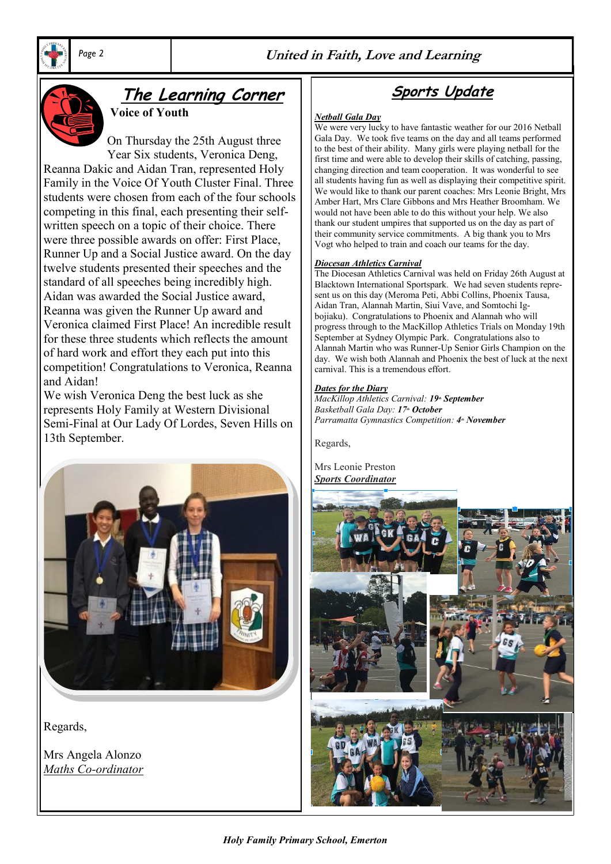





## **The Learning Corner**

**Voice of Youth**

On Thursday the 25th August three Year Six students, Veronica Deng, Reanna Dakic and Aidan Tran, represented Holy Family in the Voice Of Youth Cluster Final. Three students were chosen from each of the four schools competing in this final, each presenting their selfwritten speech on a topic of their choice. There were three possible awards on offer: First Place, Runner Up and a Social Justice award. On the day twelve students presented their speeches and the standard of all speeches being incredibly high. Aidan was awarded the Social Justice award, Reanna was given the Runner Up award and Veronica claimed First Place! An incredible result for these three students which reflects the amount of hard work and effort they each put into this competition! Congratulations to Veronica, Reanna and Aidan!

We wish Veronica Deng the best luck as she represents Holy Family at Western Divisional Semi-Final at Our Lady Of Lordes, Seven Hills on 13th September.



Regards,

Mrs Angela Alonzo *Maths Co-ordinator*

**Sports Update**

#### *Netball Gala Day*

We were very lucky to have fantastic weather for our 2016 Netball Gala Day. We took five teams on the day and all teams performed to the best of their ability. Many girls were playing netball for the first time and were able to develop their skills of catching, passing, changing direction and team cooperation. It was wonderful to see all students having fun as well as displaying their competitive spirit. We would like to thank our parent coaches: Mrs Leonie Bright, Mrs Amber Hart, Mrs Clare Gibbons and Mrs Heather Broomham. We would not have been able to do this without your help. We also thank our student umpires that supported us on the day as part of their community service commitments. A big thank you to Mrs Vogt who helped to train and coach our teams for the day.

#### *Diocesan Athletics Carnival*

The Diocesan Athletics Carnival was held on Friday 26th August at Blacktown International Sportspark. We had seven students represent us on this day (Meroma Peti, Abbi Collins, Phoenix Tausa, Aidan Tran, Alannah Martin, Siui Vave, and Somtochi Igbojiaku). Congratulations to Phoenix and Alannah who will progress through to the MacKillop Athletics Trials on Monday 19th September at Sydney Olympic Park. Congratulations also to Alannah Martin who was Runner-Up Senior Girls Champion on the day. We wish both Alannah and Phoenix the best of luck at the next carnival. This is a tremendous effort.

#### *Dates for the Diary*

*MacKillop Athletics Carnival: 19<sup>th</sup> September Basketball Gala Day: 17th October Parramatta Gymnastics Competition: 4<sup>\*</sup> November* 

Regards,

Mrs Leonie Preston *Sports Coordinator*



*Holy Family Primary School, Emerton*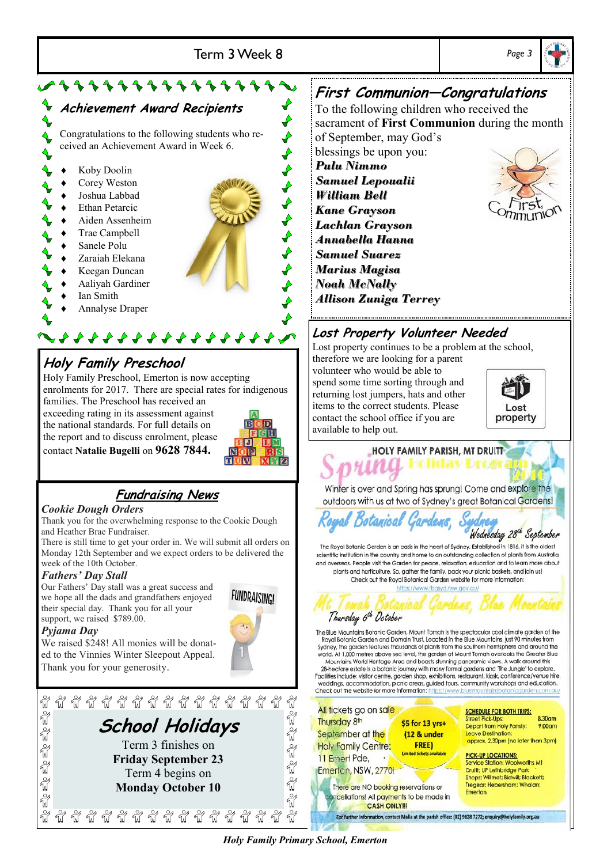

Holy Family Preschool, Emerton is now accepting enrolments for 2017. There are special rates for indigenous families. The Preschool has received an exceeding rating in its assessment against the national standards. For full details on the report and to discuss enrolment, please

contact **Natalie Bugelli** on **9628 7844.**

## **Fundraising News**

### *Cookie Dough Orders*

Thank you for the overwhelming response to the Cookie Dough and Heather Brae Fundraiser.

There is still time to get your order in. We will submit all orders on Monday 12th September and we expect orders to be delivered the week of the 10th October.

### *Fathers' Day Stall*

Our Fathers' Day stall was a great success and we hope all the dads and grandfathers enjoyed their special day. Thank you for all your support, we raised \$789.00.

### *Pyjama Day*

We raised \$248! All monies will be donated to the Vinnies Winter Sleepout Appeal. Thank you for your generosity.





## **First Communion—Congratulations**

To the following children who received the sacrament of **First Communion** during the month of September, may God's

*Samuel Lepoualii Lachlan Grayson Annabella Hanna Allison Zuniga Terrey*



## **Lost Property Volunteer Needed**

Lost property continues to be a problem at the school,

volunteer who would be able to spend some time sorting through and returning lost jumpers, hats and other items to the correct students. Please contact the school office if you are available to help out.

Royal Botanical Gardens,



**HOLY FAMILY PARISH, MT DRUITT-**

Winter is over and Spring has sprung! Come and explore the outdoors with us at two of Sydney's great Botanical Gardens!

Wednesday 28th September

The Royal Botanic Garden is an oasis in the heart of Sydney. Established in 1816, it is the oldest scientific institution in the country and home to an outstanding collection of plants from Australia and overseas. People visit the Garden for peace, relaxation, education and to learn more about plants and horticulture. So, aather the family, pack your picnic baskets, and join us! Check out the Royal Botanical Garden website for more information:



The Blue Mountains Botanic Garden, Mount Tomah is the spectacular cool climate agrden of the Royal Botanic Garden and Domain Trust. Located in the Blue Mountains, just 90 minutes from Sydney, the garden features thousands of plants from the southern hemisphere and around the world. At 1,000 metres above sea level, the garden at Mount Tomah overlooks the Greater Blue

Mountains World Heritage Area and boasts stunning panoramic views. A walk around this 28-hectare estate is a botanic journey with many formal gardens and 'The Jungle' to explore. Facilities include: visitor centre, garden shop, exhibitions, restaurant, kiosk, conference/venue hire,<br>weddings, accommodation, picnic areas, guided tours, community workshops and education. Check out the website for more information: https



*Holy Family Primary School, Emerton*